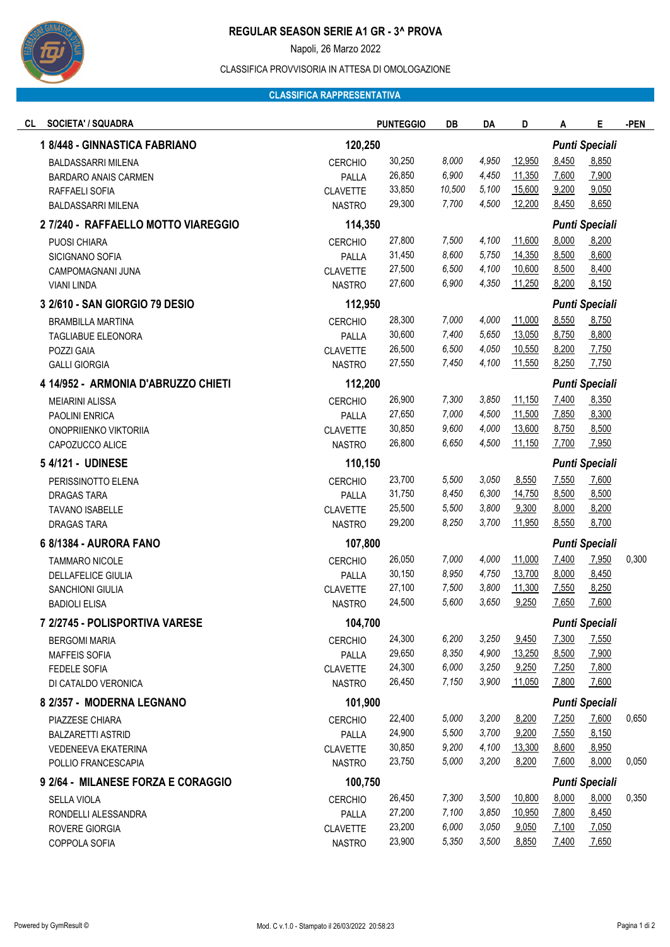

## **REGULAR SEASON SERIE A1 GR - 3^ PROVA**

Napoli, 26 Marzo 2022

### CLASSIFICA PROVVISORIA IN ATTESA DI OMOLOGAZIONE

#### **CLASSIFICA RAPPRESENTATIVA**

| <b>SOCIETA' / SQUADRA</b><br>CL     |                 | <b>PUNTEGGIO</b> | DB     | DA                    | D      | Α                     | Е                     | -PEN  |
|-------------------------------------|-----------------|------------------|--------|-----------------------|--------|-----------------------|-----------------------|-------|
| 1 8/448 - GINNASTICA FABRIANO       | 120,250         |                  |        |                       |        |                       | <b>Punti Speciali</b> |       |
| <b>BALDASSARRI MILENA</b>           | <b>CERCHIO</b>  | 30,250           | 8,000  | 4,950                 | 12,950 | 8,450                 | 8,850                 |       |
| <b>BARDARO ANAIS CARMEN</b>         | PALLA           | 26,850           | 6,900  | 4,450                 | 11,350 | 7,600                 | 7,900                 |       |
| RAFFAELI SOFIA                      | <b>CLAVETTE</b> | 33,850           | 10,500 | 5,100                 | 15,600 | 9,200                 | 9,050                 |       |
| <b>BALDASSARRI MILENA</b>           | <b>NASTRO</b>   | 29,300           | 7,700  | 4,500                 | 12,200 | 8,450                 | 8,650                 |       |
| 2 7/240 - RAFFAELLO MOTTO VIAREGGIO | 114,350         |                  |        |                       |        | <b>Punti Speciali</b> |                       |       |
| PUOSI CHIARA                        | <b>CERCHIO</b>  | 27,800           | 7,500  | 4,100                 | 11,600 | 8,000                 | 8,200                 |       |
| SICIGNANO SOFIA                     | PALLA           | 31,450           | 8,600  | 5,750                 | 14,350 | 8,500                 | 8,600                 |       |
| CAMPOMAGNANI JUNA                   | <b>CLAVETTE</b> | 27,500           | 6,500  | 4,100                 | 10,600 | 8,500                 | 8,400                 |       |
| <b>VIANI LINDA</b>                  | <b>NASTRO</b>   | 27,600           | 6,900  | 4,350                 | 11,250 | 8,200                 | 8,150                 |       |
| 3 2/610 - SAN GIORGIO 79 DESIO      | 112,950         |                  |        |                       |        | <b>Punti Speciali</b> |                       |       |
| <b>BRAMBILLA MARTINA</b>            | <b>CERCHIO</b>  | 28,300           | 7,000  | 4,000                 | 11,000 | 8,550                 | 8,750                 |       |
| TAGLIABUE ELEONORA                  | PALLA           | 30,600           | 7,400  | 5,650                 | 13,050 | 8,750                 | 8,800                 |       |
| POZZI GAIA                          | <b>CLAVETTE</b> | 26,500           | 6,500  | 4,050                 | 10,550 | 8,200                 | 7,750                 |       |
| <b>GALLI GIORGIA</b>                | <b>NASTRO</b>   | 27,550           | 7,450  | 4,100                 | 11,550 | 8,250                 | 7,750                 |       |
| 4 14/952 - ARMONIA D'ABRUZZO CHIETI |                 | 112,200          |        |                       |        | <b>Punti Speciali</b> |                       |       |
| <b>MEIARINI ALISSA</b>              | <b>CERCHIO</b>  | 26,900           | 7,300  | 3,850                 | 11,150 | 7,400                 | 8,350                 |       |
| PAOLINI ENRICA                      | PALLA           | 27,650           | 7,000  | 4,500                 | 11,500 | 7,850                 | 8,300                 |       |
| ONOPRIIENKO VIKTORIIA               | <b>CLAVETTE</b> | 30,850           | 9,600  | 4,000                 | 13,600 | 8,750                 | 8,500                 |       |
| CAPOZUCCO ALICE                     | <b>NASTRO</b>   | 26,800           | 6,650  | 4,500                 | 11,150 | 7,700                 | 7,950                 |       |
| 5 4/121 - UDINESE                   | 110,150         |                  |        |                       |        |                       | <b>Punti Speciali</b> |       |
| PERISSINOTTO ELENA                  | <b>CERCHIO</b>  | 23,700           | 5,500  | 3,050                 | 8,550  | 7,550                 | 7,600                 |       |
| DRAGAS TARA                         | PALLA           | 31,750           | 8,450  | 6,300                 | 14,750 | 8,500                 | 8,500                 |       |
| <b>TAVANO ISABELLE</b>              | <b>CLAVETTE</b> | 25,500           | 5,500  | 3,800                 | 9,300  | 8,000                 | 8,200                 |       |
| DRAGAS TARA                         | <b>NASTRO</b>   | 29,200           | 8,250  | 3,700                 | 11,950 | 8,550                 | 8,700                 |       |
| 6 8/1384 - AURORA FANO              | 107,800         |                  |        | <b>Punti Speciali</b> |        |                       |                       |       |
| <b>TAMMARO NICOLE</b>               | <b>CERCHIO</b>  | 26,050           | 7,000  | 4,000                 | 11,000 | 7,400                 | 7,950                 | 0,300 |
| <b>DELLAFELICE GIULIA</b>           | PALLA           | 30,150           | 8,950  | 4,750                 | 13,700 | 8,000                 | 8,450                 |       |
| <b>SANCHIONI GIULIA</b>             | <b>CLAVETTE</b> | 27,100           | 7,500  | 3,800                 | 11,300 | 7,550                 | 8,250                 |       |
| <b>BADIOLI ELISA</b>                | <b>NASTRO</b>   | 24,500           | 5,600  | 3,650                 | 9,250  | 7,650                 | 7,600                 |       |
| 7 2/2745 - POLISPORTIVA VARESE      | 104,700         |                  |        |                       |        |                       | <b>Punti Speciali</b> |       |
| <b>BERGOMI MARIA</b>                | <b>CERCHIO</b>  | 24,300           | 6,200  | 3,250                 | 9,450  | 7,300                 | 7,550                 |       |
| <b>MAFFEIS SOFIA</b>                | PALLA           | 29,650           | 8,350  | 4,900                 | 13,250 | 8,500                 | 7,900                 |       |
| <b>FEDELE SOFIA</b>                 | <b>CLAVETTE</b> | 24,300           | 6,000  | 3,250                 | 9,250  | 7,250                 | 7,800                 |       |
| DI CATALDO VERONICA                 | <b>NASTRO</b>   | 26,450           | 7,150  | 3,900                 | 11,050 | 7,800                 | 7,600                 |       |
| 8 2/357 - MODERNA LEGNANO           | 101,900         |                  |        |                       |        |                       | <b>Punti Speciali</b> |       |
| PIAZZESE CHIARA                     | <b>CERCHIO</b>  | 22,400           | 5,000  | 3,200                 | 8,200  | 7,250                 | 7,600                 | 0,650 |
| <b>BALZARETTI ASTRID</b>            | PALLA           | 24,900           | 5,500  | 3,700                 | 9,200  | 7,550                 | 8,150                 |       |
| VEDENEEVA EKATERINA                 | <b>CLAVETTE</b> | 30,850           | 9,200  | 4,100                 | 13,300 | 8,600                 | 8,950                 |       |
| POLLIO FRANCESCAPIA                 | <b>NASTRO</b>   | 23,750           | 5,000  | 3,200                 | 8,200  | 7,600                 | 8,000                 | 0,050 |
| 9 2/64 - MILANESE FORZA E CORAGGIO  | 100,750         |                  |        |                       |        | <b>Punti Speciali</b> |                       |       |
| <b>SELLA VIOLA</b>                  | <b>CERCHIO</b>  | 26,450           | 7,300  | 3,500                 | 10,800 | 8,000                 | 8,000                 | 0,350 |
| RONDELLI ALESSANDRA                 | PALLA           | 27,200           | 7,100  | 3,850                 | 10,950 | 7,800                 | 8,450                 |       |
| ROVERE GIORGIA                      | <b>CLAVETTE</b> | 23,200           | 6,000  | 3,050                 | 9,050  | 7,100                 | 7,050                 |       |
| COPPOLA SOFIA                       | <b>NASTRO</b>   | 23,900           | 5,350  | 3,500                 | 8,850  | 7,400                 | 7,650                 |       |